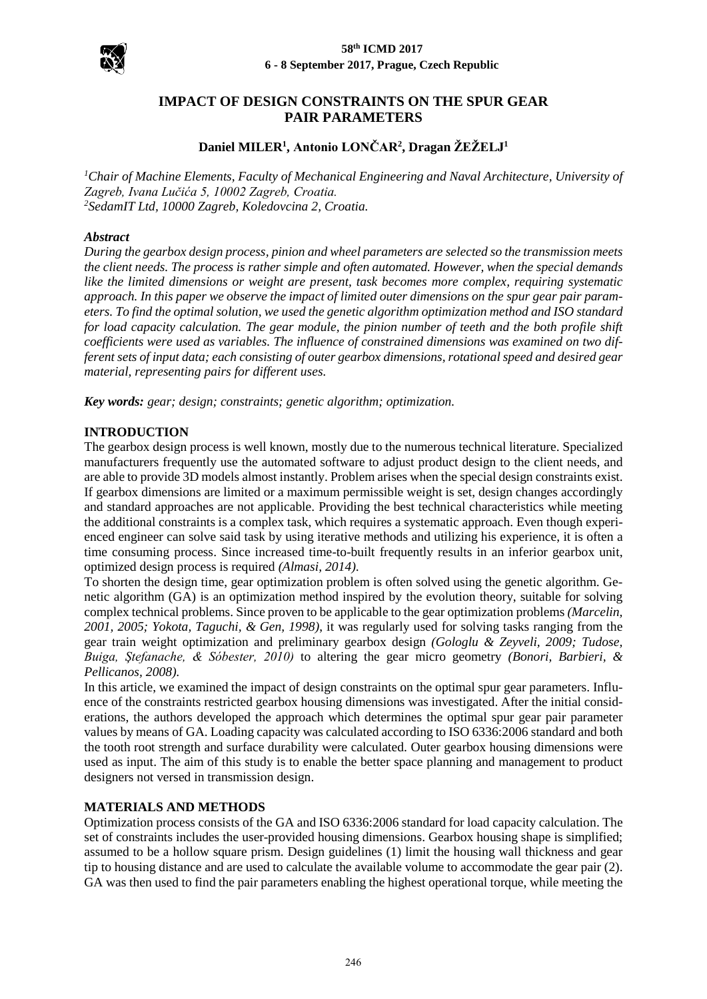

## **IMPACT OF DESIGN CONSTRAINTS ON THE SPUR GEAR PAIR PARAMETERS**

# **Daniel MILER<sup>1</sup> , Antonio LONČAR<sup>2</sup> , Dragan ŽEŽELJ<sup>1</sup>**

*<sup>1</sup>Chair of Machine Elements, Faculty of Mechanical Engineering and Naval Architecture, University of Zagreb, Ivana Lučića 5, 10002 Zagreb, Croatia. <sup>2</sup>SedamIT Ltd, 10000 Zagreb, Koledovcina 2, Croatia.*

#### *Abstract*

*During the gearbox design process, pinion and wheel parameters are selected so the transmission meets the client needs. The process is rather simple and often automated. However, when the special demands like the limited dimensions or weight are present, task becomes more complex, requiring systematic approach. In this paper we observe the impact of limited outer dimensions on the spur gear pair parameters. To find the optimal solution, we used the genetic algorithm optimization method and ISO standard for load capacity calculation. The gear module, the pinion number of teeth and the both profile shift coefficients were used as variables. The influence of constrained dimensions was examined on two different sets of input data; each consisting of outer gearbox dimensions, rotational speed and desired gear material, representing pairs for different uses.*

*Key words: gear; design; constraints; genetic algorithm; optimization.*

#### **INTRODUCTION**

The gearbox design process is well known, mostly due to the numerous technical literature. Specialized manufacturers frequently use the automated software to adjust product design to the client needs, and are able to provide 3D models almost instantly. Problem arises when the special design constraints exist. If gearbox dimensions are limited or a maximum permissible weight is set, design changes accordingly and standard approaches are not applicable. Providing the best technical characteristics while meeting the additional constraints is a complex task, which requires a systematic approach. Even though experienced engineer can solve said task by using iterative methods and utilizing his experience, it is often a time consuming process. Since increased time-to-built frequently results in an inferior gearbox unit, optimized design process is required *(Almasi, 2014)*.

To shorten the design time, gear optimization problem is often solved using the genetic algorithm. Genetic algorithm (GA) is an optimization method inspired by the evolution theory, suitable for solving complex technical problems. Since proven to be applicable to the gear optimization problems *(Marcelin, 2001, 2005; Yokota, Taguchi, & Gen, 1998)*, it was regularly used for solving tasks ranging from the gear train weight optimization and preliminary gearbox design *(Gologlu & Zeyveli, 2009; Tudose, Buiga, Ştefanache, & Sóbester, 2010)* to altering the gear micro geometry *(Bonori, Barbieri, & Pellicanos, 2008)*.

In this article, we examined the impact of design constraints on the optimal spur gear parameters. Influence of the constraints restricted gearbox housing dimensions was investigated. After the initial considerations, the authors developed the approach which determines the optimal spur gear pair parameter values by means of GA. Loading capacity was calculated according to ISO 6336:2006 standard and both the tooth root strength and surface durability were calculated. Outer gearbox housing dimensions were used as input. The aim of this study is to enable the better space planning and management to product designers not versed in transmission design.

### **MATERIALS AND METHODS**

Optimization process consists of the GA and ISO 6336:2006 standard for load capacity calculation. The set of constraints includes the user-provided housing dimensions. Gearbox housing shape is simplified; assumed to be a hollow square prism. Design guidelines (1) limit the housing wall thickness and gear tip to housing distance and are used to calculate the available volume to accommodate the gear pair (2). GA was then used to find the pair parameters enabling the highest operational torque, while meeting the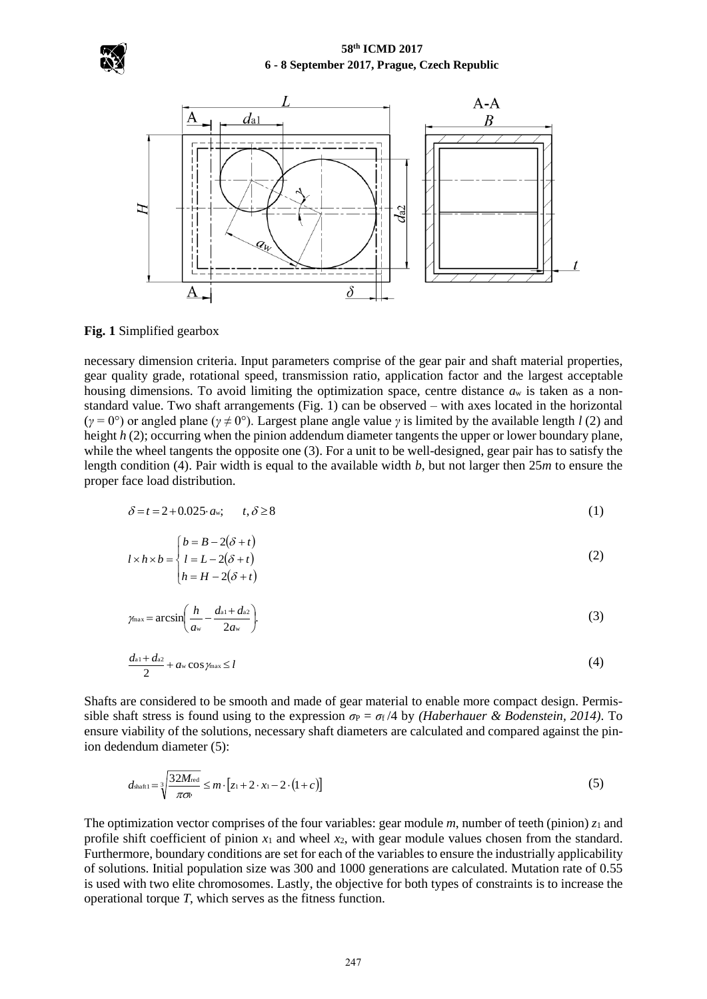



**Fig. 1** Simplified gearbox

necessary dimension criteria. Input parameters comprise of the gear pair and shaft material properties, gear quality grade, rotational speed, transmission ratio, application factor and the largest acceptable housing dimensions. To avoid limiting the optimization space, centre distance *a*<sup>w</sup> is taken as a nonstandard value. Two shaft arrangements (Fig. 1) can be observed – with axes located in the horizontal (*γ* = 0°) or angled plane (*γ* ≠ 0°). Largest plane angle value *γ* is limited by the available length *l* (2) and height *h* (2); occurring when the pinion addendum diameter tangents the upper or lower boundary plane, while the wheel tangents the opposite one (3). For a unit to be well-designed, gear pair has to satisfy the length condition (4). Pair width is equal to the available width *b*, but not larger then 25*m* to ensure the proper face load distribution.

$$
\delta = t = 2 + 0.025 \cdot a\mathbf{w}; \qquad t, \delta \ge 8 \tag{1}
$$

$$
l \times h \times b = \begin{cases} b = B - 2(\delta + t) \\ l = L - 2(\delta + t) \\ h = H - 2(\delta + t) \end{cases}
$$
 (2)

$$
\gamma_{\text{max}} = \arcsin\left(\frac{h}{a_{\text{w}}} - \frac{d_{\text{a1}} + d_{\text{a2}}}{2a_{\text{w}}}\right). \tag{3}
$$

$$
\frac{d^{a_1+}d^{a_2}}{2} + a \cdot \cos \gamma_{\max} \leq l \tag{4}
$$

Shafts are considered to be smooth and made of gear material to enable more compact design. Permissible shaft stress is found using to the expression  $\sigma_P = \sigma_f/4$  by *(Haberhauer & Bodenstein, 2014)*. To ensure viability of the solutions, necessary shaft diameters are calculated and compared against the pinion dedendum diameter (5):

$$
d_{\text{shaff1}} = \sqrt[3]{\frac{32M_{\text{red}}}{\pi \sigma}} \le m \cdot [z_1 + 2 \cdot x_1 - 2 \cdot (1 + c)] \tag{5}
$$

The optimization vector comprises of the four variables: gear module *m*, number of teeth (pinion) *z*<sup>1</sup> and profile shift coefficient of pinion *x*<sup>1</sup> and wheel *x*2, with gear module values chosen from the standard. Furthermore, boundary conditions are set for each of the variables to ensure the industrially applicability of solutions. Initial population size was 300 and 1000 generations are calculated. Mutation rate of 0.55 is used with two elite chromosomes. Lastly, the objective for both types of constraints is to increase the operational torque *T*, which serves as the fitness function.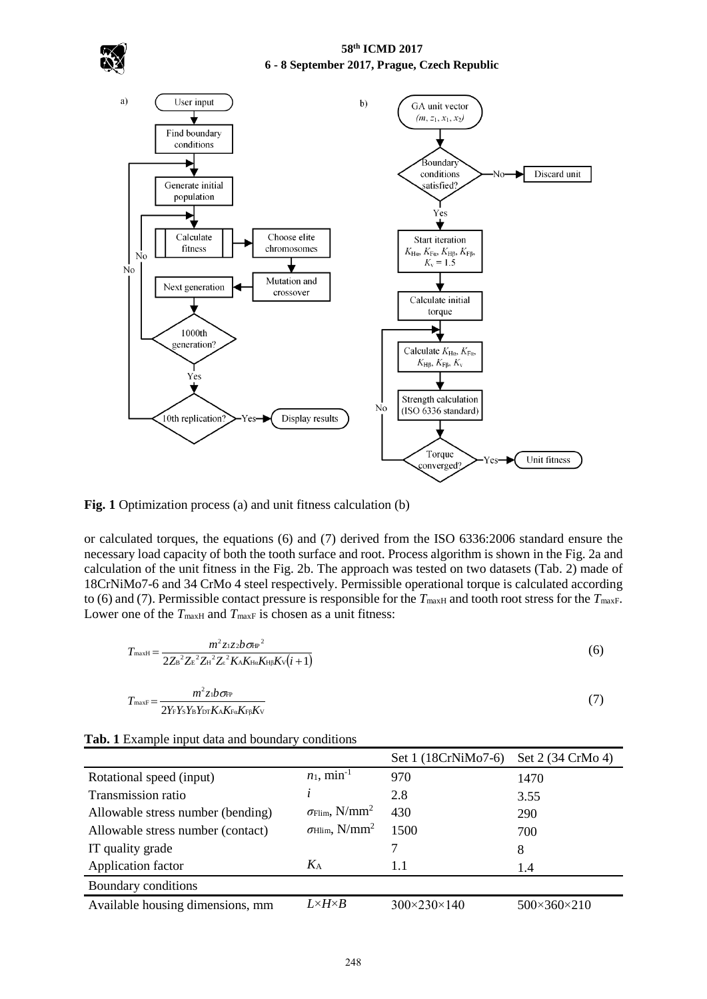

**Fig. 1** Optimization process (a) and unit fitness calculation (b)

or calculated torques, the equations (6) and (7) derived from the ISO 6336:2006 standard ensure the necessary load capacity of both the tooth surface and root. Process algorithm is shown in the Fig. 2a and calculation of the unit fitness in the Fig. 2b. The approach was tested on two datasets (Tab. 2) made of 18CrNiMo7-6 and 34 CrMo 4 steel respectively. Permissible operational torque is calculated according to (6) and (7). Permissible contact pressure is responsible for the  $T_{\text{maxH}}$  and tooth root stress for the  $T_{\text{maxF}}$ . Lower one of the  $T_{\text{maxH}}$  and  $T_{\text{maxF}}$  is chosen as a unit fitness:

$$
T_{\text{maxH}} = \frac{m^2 z_1 z_2 b \sigma_{\text{HP}}^2}{2Z_B^2 Z_E^2 Z_H^2 Z_z^2 K_A K_{\text{H}\alpha} K_{\text{HP}} K_v (i+1)}
$$
(6)

$$
T_{\text{maxF}} = \frac{m^2 z \cdot b \sigma_{\text{FP}}}{2Y_{\text{F}} Y_{\text{S}} Y_{\text{B}} Y_{\text{DT}} K_{\text{A}} K_{\text{Fg}} K_{\text{V}}}
$$
(7)

|                                   |                                            | Set 1 (18CrNiMo7-6)         | Set 2 (34 CrMo 4)           |
|-----------------------------------|--------------------------------------------|-----------------------------|-----------------------------|
| Rotational speed (input)          | $n_1$ , min <sup>-1</sup>                  | 970                         | 1470                        |
| Transmission ratio                |                                            | 2.8                         | 3.55                        |
| Allowable stress number (bending) | $\sigma$ Flim, N/mm <sup>2</sup>           | 430                         | 290                         |
| Allowable stress number (contact) | $\sigma_{\text{Hlim}}$ , N/mm <sup>2</sup> | 1500                        | 700                         |
| IT quality grade                  |                                            |                             | 8                           |
| Application factor                | $K_A$                                      | 1.1                         | 1.4                         |
| Boundary conditions               |                                            |                             |                             |
| Available housing dimensions, mm  | $L\times H\times B$                        | $300 \times 230 \times 140$ | $500 \times 360 \times 210$ |

**Tab. 1** Example input data and boundary conditions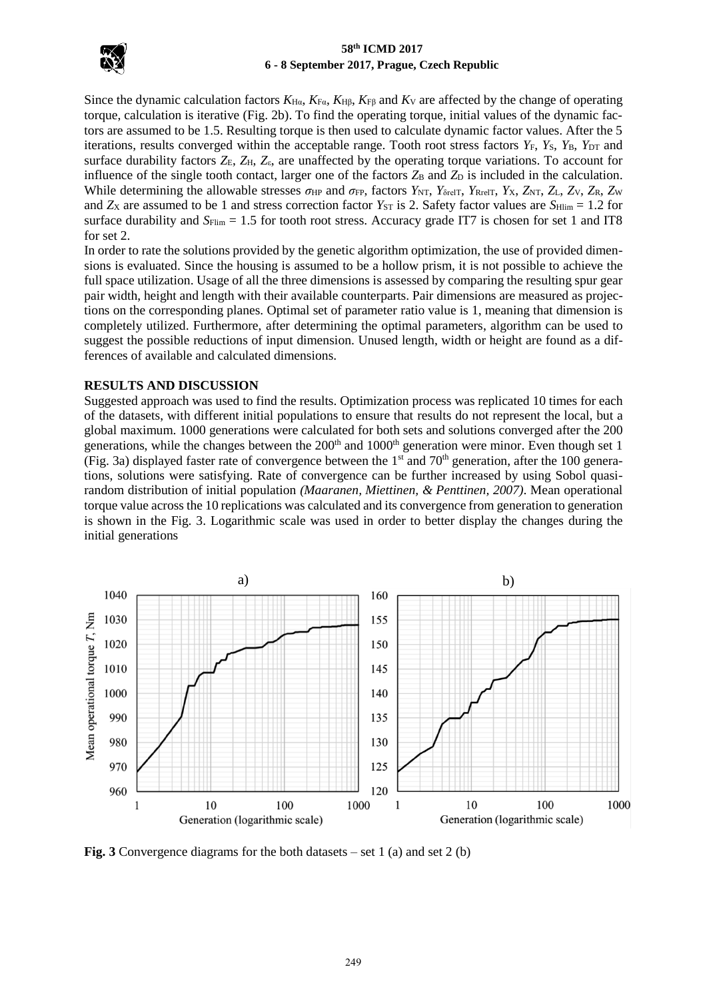

Since the dynamic calculation factors  $K_{H\alpha}$ ,  $K_{F\alpha}$ ,  $K_{H\beta}$ ,  $K_{F\beta}$  and  $K_{V}$  are affected by the change of operating torque, calculation is iterative (Fig. 2b). To find the operating torque, initial values of the dynamic factors are assumed to be 1.5. Resulting torque is then used to calculate dynamic factor values. After the 5 iterations, results converged within the acceptable range. Tooth root stress factors  $Y_F$ ,  $Y_S$ ,  $Y_B$ ,  $Y_{\text{DT}}$  and surface durability factors *Z*<sub>E</sub>, *Z*<sub>H</sub>, *Z*<sub>ε</sub>, are unaffected by the operating torque variations. To account for influence of the single tooth contact, larger one of the factors  $Z_B$  and  $Z_D$  is included in the calculation. While determining the allowable stresses *σ*<sub>HP</sub> and *σ*<sub>FP</sub>, factors *Y*<sub>NT</sub>, *Y*<sub>δrelT</sub>, *Y*<sub>RrelT</sub>, *Y*<sub>X</sub>, *Z*<sub>NT</sub>, *Z*<sub>V</sub>, *Z*<sub>N</sub>, *Z*<sub>W</sub>, *Z*<sub>W</sub> and  $Z_{\rm X}$  are assumed to be 1 and stress correction factor  $Y_{\rm ST}$  is 2. Safety factor values are  $S_{\rm Hlim} = 1.2$  for surface durability and  $S_{\text{Flim}} = 1.5$  for tooth root stress. Accuracy grade IT7 is chosen for set 1 and IT8 for set 2.

In order to rate the solutions provided by the genetic algorithm optimization, the use of provided dimensions is evaluated. Since the housing is assumed to be a hollow prism, it is not possible to achieve the full space utilization. Usage of all the three dimensions is assessed by comparing the resulting spur gear pair width, height and length with their available counterparts. Pair dimensions are measured as projections on the corresponding planes. Optimal set of parameter ratio value is 1, meaning that dimension is completely utilized. Furthermore, after determining the optimal parameters, algorithm can be used to suggest the possible reductions of input dimension. Unused length, width or height are found as a differences of available and calculated dimensions.

### **RESULTS AND DISCUSSION**

Suggested approach was used to find the results. Optimization process was replicated 10 times for each of the datasets, with different initial populations to ensure that results do not represent the local, but a global maximum. 1000 generations were calculated for both sets and solutions converged after the 200 generations, while the changes between the 200<sup>th</sup> and 1000<sup>th</sup> generation were minor. Even though set 1 (Fig. 3a) displayed faster rate of convergence between the  $1<sup>st</sup>$  and  $70<sup>th</sup>$  generation, after the 100 generations, solutions were satisfying. Rate of convergence can be further increased by using Sobol quasirandom distribution of initial population *(Maaranen, Miettinen, & Penttinen, 2007)*. Mean operational torque value across the 10 replications was calculated and its convergence from generation to generation is shown in the Fig. 3. Logarithmic scale was used in order to better display the changes during the initial generations



**Fig. 3** Convergence diagrams for the both datasets – set 1 (a) and set 2 (b)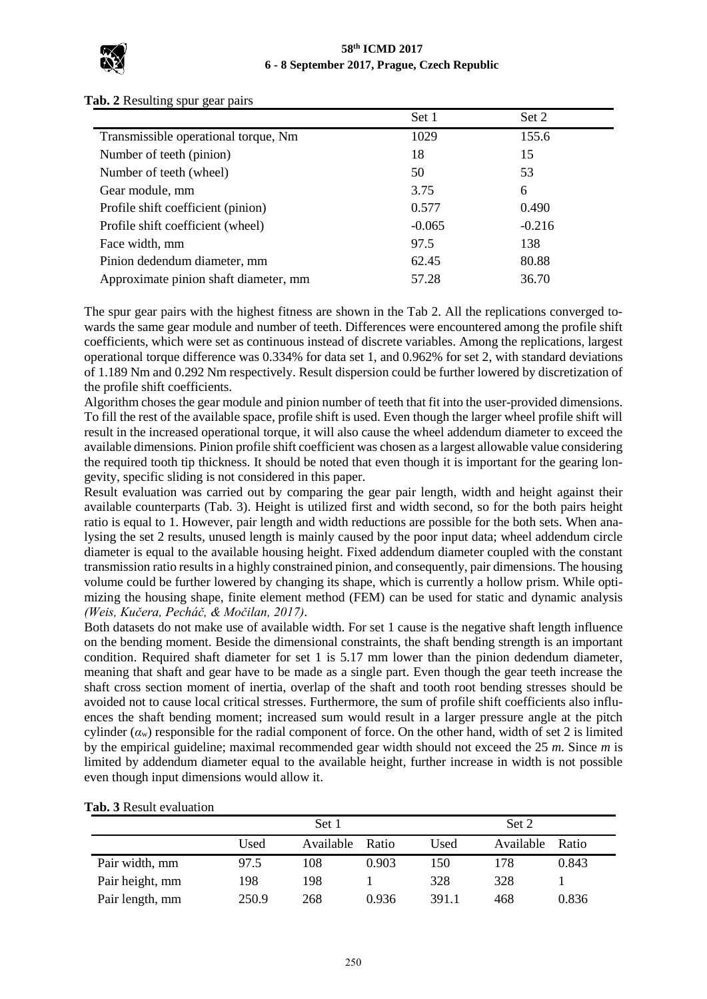

|                                       | Set 1    | Set 2    |  |
|---------------------------------------|----------|----------|--|
| Transmissible operational torque, Nm  | 1029     | 155.6    |  |
| Number of teeth (pinion)              | 18       | 15       |  |
| Number of teeth (wheel)               | 50       | 53       |  |
| Gear module, mm                       | 3.75     | 6        |  |
| Profile shift coefficient (pinion)    | 0.577    | 0.490    |  |
| Profile shift coefficient (wheel)     | $-0.065$ | $-0.216$ |  |
| Face width, mm                        | 97.5     | 138      |  |
| Pinion dedendum diameter, mm          | 62.45    | 80.88    |  |
| Approximate pinion shaft diameter, mm | 57.28    | 36.70    |  |

#### **Tab. 2** Resulting spur gear pairs

The spur gear pairs with the highest fitness are shown in the Tab 2. All the replications converged towards the same gear module and number of teeth. Differences were encountered among the profile shift coefficients, which were set as continuous instead of discrete variables. Among the replications, largest operational torque difference was 0.334% for data set 1, and 0.962% for set 2, with standard deviations of 1.189 Nm and 0.292 Nm respectively. Result dispersion could be further lowered by discretization of the profile shift coefficients.

### Algorithm choses the gear module and pinion number of teeth that fit into the user-provided dimensions. To fill the rest of the available space, profile shift is used. Even though the larger wheel profile shift will result in the increased operational torque, it will also cause the wheel addendum diameter to exceed the available dimensions. Pinion profile shift coefficient was chosen as a largest allowable value considering the required tooth tip thickness. It should be noted that even though it is important for the gearing longevity, specific sliding is not considered in this paper.

Result evaluation was carried out by comparing the gear pair length, width and height against their available counterparts (Tab. 3). Height is utilized first and width second, so for the both pairs height ratio is equal to 1. However, pair length and width reductions are possible for the both sets. When analysing the set 2 results, unused length is mainly caused by the poor input data; wheel addendum circle diameter is equal to the available housing height. Fixed addendum diameter coupled with the constant transmission ratio results in a highly constrained pinion, and consequently, pair dimensions. The housing volume could be further lowered by changing its shape, which is currently a hollow prism. While optimizing the housing shape, finite element method (FEM) can be used for static and dynamic analysis *(Weis, Kučera, Pecháč, & Močilan, 2017)*.

Both datasets do not make use of available width. For set 1 cause is the negative shaft length influence on the bending moment. Beside the dimensional constraints, the shaft bending strength is an important condition. Required shaft diameter for set 1 is 5.17 mm lower than the pinion dedendum diameter, meaning that shaft and gear have to be made as a single part. Even though the gear teeth increase the shaft cross section moment of inertia, overlap of the shaft and tooth root bending stresses should be avoided not to cause local critical stresses. Furthermore, the sum of profile shift coefficients also influences the shaft bending moment; increased sum would result in a larger pressure angle at the pitch cylinder ( $\alpha$ <sub>w</sub>) responsible for the radial component of force. On the other hand, width of set 2 is limited by the empirical guideline; maximal recommended gear width should not exceed the 25 *m*. Since *m* is limited by addendum diameter equal to the available height, further increase in width is not possible even though input dimensions would allow it.

|                 |       | Set 1     |       | Set 2 |           |       |
|-----------------|-------|-----------|-------|-------|-----------|-------|
|                 | Used  | Available | Ratio | Used  | Available | Ratio |
| Pair width, mm  | 97.5  | 108       | 0.903 | 150   | 178       | 0.843 |
| Pair height, mm | 198   | 198       |       | 328   | 328       |       |
| Pair length, mm | 250.9 | 268       | 0.936 | 391.1 | 468       | 0.836 |

### **Tab. 3** Result evaluation